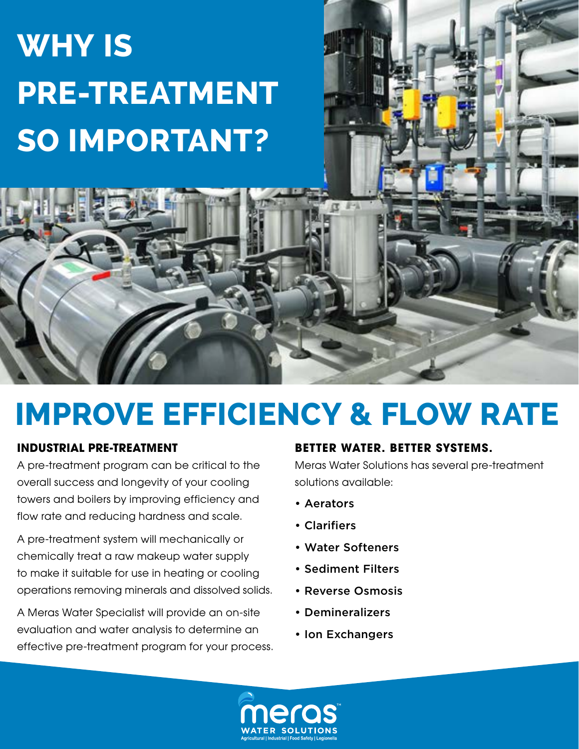# **Why is Pre-treatment so important?**

## **IMPROVE EFFICIENCY & FLOW RATE**

#### **INDUSTRIAL PRE-TREATMENT**

A pre-treatment program can be critical to the overall success and longevity of your cooling towers and boilers by improving efficiency and flow rate and reducing hardness and scale.

A pre-treatment system will mechanically or chemically treat a raw makeup water supply to make it suitable for use in heating or cooling operations removing minerals and dissolved solids.

A Meras Water Specialist will provide an on-site evaluation and water analysis to determine an effective pre-treatment program for your process.

#### **BETTER WATER. BETTER SYSTEMS.**

Meras Water Solutions has several pre-treatment solutions available:

- Aerators
- Clarifiers
- Water Softeners
- Sediment Filters
- Reverse Osmosis
- Demineralizers
- Ion Exchangers